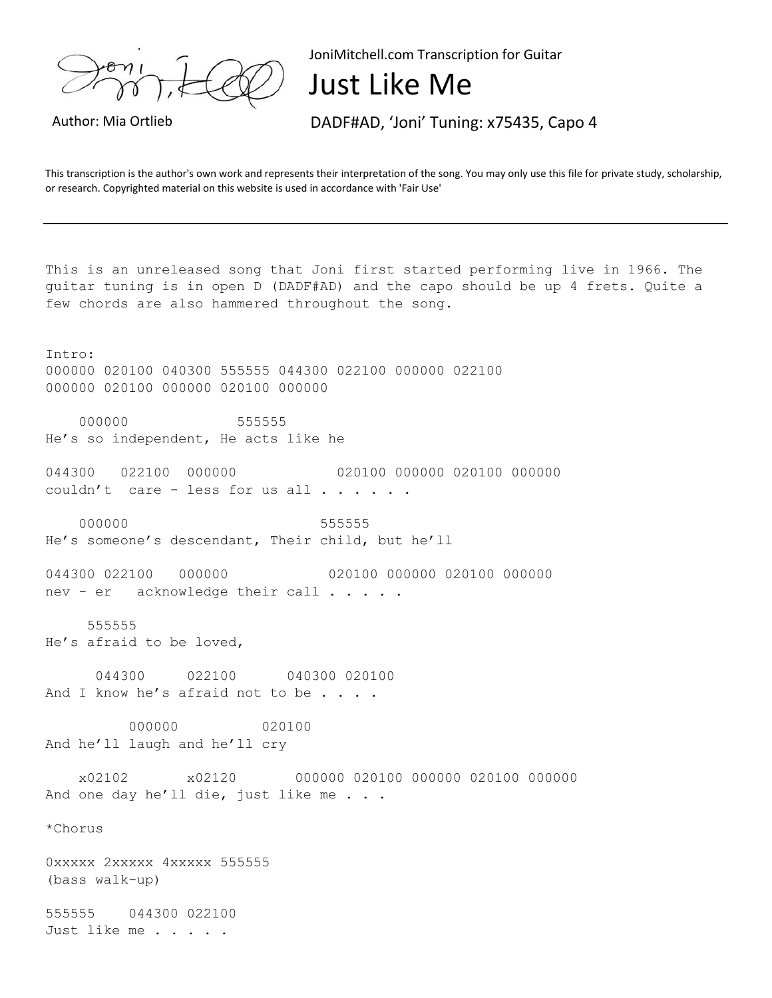

JoniMitchell.com Transcription for Guitar

## Just Like Me

Author: Mia Ortlieb DADF#AD, 'Joni' Tuning: x75435, Capo 4

This transcription is the author's own work and represents their interpretation of the song. You may only use this file for private study, scholarship, or research. Copyrighted material on this website is used in accordance with 'Fair Use'

This is an unreleased song that Joni first started performing live in 1966. The guitar tuning is in open D (DADF#AD) and the capo should be up 4 frets. Quite a few chords are also hammered throughout the song.

Intro: 000000 020100 040300 555555 044300 022100 000000 022100 000000 020100 000000 020100 000000

 000000 555555 He's so independent, He acts like he

044300 022100 000000 020100 000000 020100 000000 couldn't care - less for us all . . . . . .

 000000 555555 He's someone's descendant, Their child, but he'll

044300 022100 000000 020100 000000 020100 000000 nev - er acknowledge their call . . . . .

 555555 He's afraid to be loved,

 044300 022100 040300 020100 And I know he's afraid not to be . . . .

 000000 020100 And he'll laugh and he'll cry

 x02102 x02120 000000 020100 000000 020100 000000 And one day he'll die, just like me . . .

\*Chorus

0xxxxx 2xxxxx 4xxxxx 555555 (bass walk-up)

555555 044300 022100 Just like me . . . . .